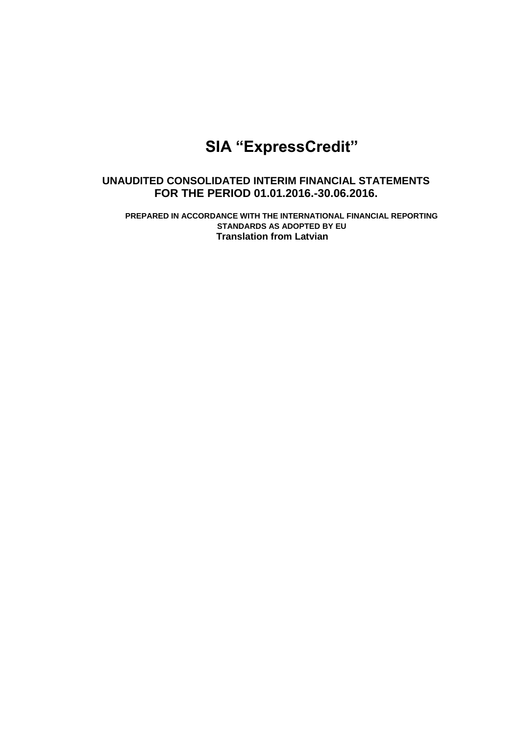# **SIA "ExpressCredit"**

# **UNAUDITED CONSOLIDATED INTERIM FINANCIAL STATEMENTS FOR THE PERIOD 01.01.2016.-30.06.2016.**

**PREPARED IN ACCORDANCE WITH THE INTERNATIONAL FINANCIAL REPORTING STANDARDS AS ADOPTED BY EU Translation from Latvian**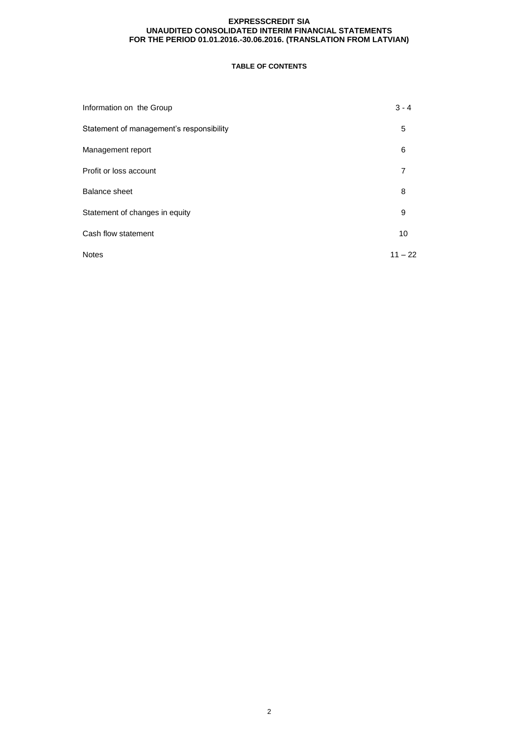# **TABLE OF CONTENTS**

| Information on the Group                 | $3 - 4$   |
|------------------------------------------|-----------|
| Statement of management's responsibility | 5         |
| Management report                        | 6         |
| Profit or loss account                   | 7         |
| <b>Balance sheet</b>                     | 8         |
| Statement of changes in equity           | 9         |
| Cash flow statement                      | 10        |
| <b>Notes</b>                             | $11 - 22$ |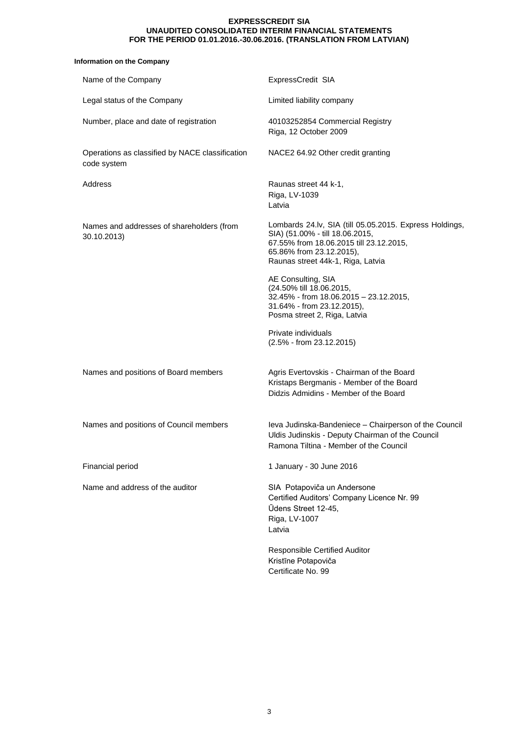# **Information on the Company**

| Name of the Company                                            | ExpressCredit SIA                                                                                                                                                                                      |
|----------------------------------------------------------------|--------------------------------------------------------------------------------------------------------------------------------------------------------------------------------------------------------|
| Legal status of the Company                                    | Limited liability company                                                                                                                                                                              |
| Number, place and date of registration                         | 40103252854 Commercial Registry<br>Riga, 12 October 2009                                                                                                                                               |
| Operations as classified by NACE classification<br>code system | NACE2 64.92 Other credit granting                                                                                                                                                                      |
| Address                                                        | Raunas street 44 k-1,<br>Riga, LV-1039<br>Latvia                                                                                                                                                       |
| Names and addresses of shareholders (from<br>30.10.2013)       | Lombards 24.lv, SIA (till 05.05.2015. Express Holdings,<br>SIA) (51.00% - till 18.06.2015,<br>67.55% from 18.06.2015 till 23.12.2015,<br>65.86% from 23.12.2015),<br>Raunas street 44k-1, Riga, Latvia |
|                                                                | AE Consulting, SIA<br>(24.50% till 18.06.2015,<br>32.45% - from 18.06.2015 - 23.12.2015,<br>31.64% - from 23.12.2015),<br>Posma street 2, Riga, Latvia                                                 |
|                                                                | Private individuals<br>(2.5% - from 23.12.2015)                                                                                                                                                        |
| Names and positions of Board members                           | Agris Evertovskis - Chairman of the Board<br>Kristaps Bergmanis - Member of the Board<br>Didzis Admidins - Member of the Board                                                                         |
| Names and positions of Council members                         | leva Judinska-Bandeniece - Chairperson of the Council<br>Uldis Judinskis - Deputy Chairman of the Council<br>Ramona Tiltina - Member of the Council                                                    |
| Financial period                                               | 1 January - 30 June 2016                                                                                                                                                                               |
| Name and address of the auditor                                | SIA Potapoviča un Andersone<br>Certified Auditors' Company Licence Nr. 99<br>Ūdens Street 12-45,<br>Riga, LV-1007<br>Latvia                                                                            |
|                                                                | Responsible Certified Auditor<br>Kristīne Potapoviča<br>Certificate No. 99                                                                                                                             |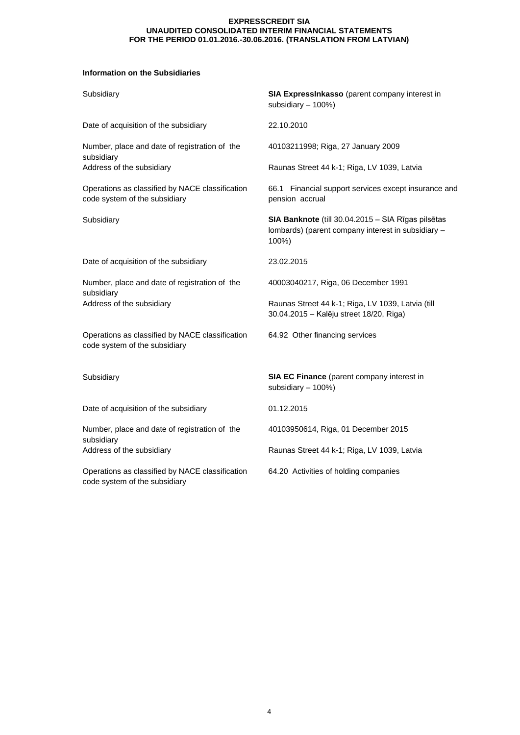# **Information on the Subsidiaries**

| Subsidiary                                                                       | SIA ExpressInkasso (parent company interest in<br>subsidiary - 100%)                                              |
|----------------------------------------------------------------------------------|-------------------------------------------------------------------------------------------------------------------|
| Date of acquisition of the subsidiary                                            | 22.10.2010                                                                                                        |
| Number, place and date of registration of the<br>subsidiary                      | 40103211998; Riga, 27 January 2009                                                                                |
| Address of the subsidiary                                                        | Raunas Street 44 k-1; Riga, LV 1039, Latvia                                                                       |
| Operations as classified by NACE classification<br>code system of the subsidiary | 66.1 Financial support services except insurance and<br>pension accrual                                           |
| Subsidiary                                                                       | SIA Banknote (till 30.04.2015 - SIA Rīgas pilsētas<br>lombards) (parent company interest in subsidiary -<br>100%) |
| Date of acquisition of the subsidiary                                            | 23.02.2015                                                                                                        |
| Number, place and date of registration of the<br>subsidiary                      | 40003040217, Riga, 06 December 1991                                                                               |
| Address of the subsidiary                                                        | Raunas Street 44 k-1; Riga, LV 1039, Latvia (till<br>30.04.2015 - Kalēju street 18/20, Riga)                      |
| Operations as classified by NACE classification<br>code system of the subsidiary | 64.92 Other financing services                                                                                    |
| Subsidiary                                                                       | SIA EC Finance (parent company interest in<br>subsidiary - 100%)                                                  |
| Date of acquisition of the subsidiary                                            | 01.12.2015                                                                                                        |
| Number, place and date of registration of the<br>subsidiary                      | 40103950614, Riga, 01 December 2015                                                                               |
| Address of the subsidiary                                                        | Raunas Street 44 k-1; Riga, LV 1039, Latvia                                                                       |
| Operations as classified by NACE classification<br>code system of the subsidiary | 64.20 Activities of holding companies                                                                             |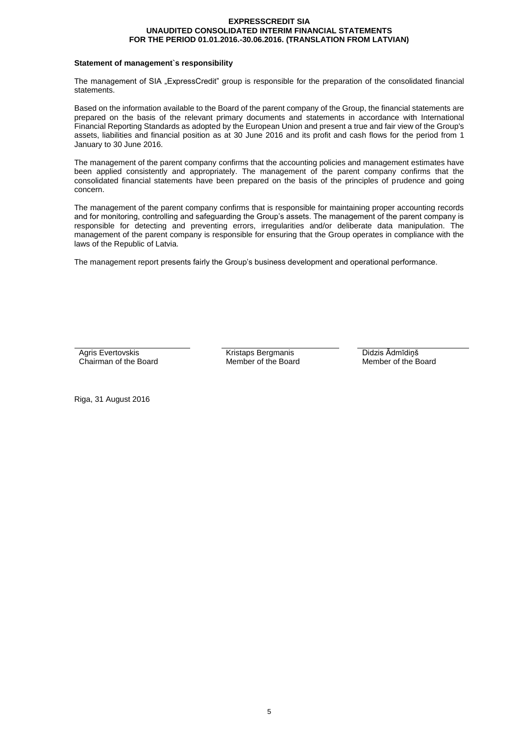# **Statement of management`s responsibility**

The management of SIA "ExpressCredit" group is responsible for the preparation of the consolidated financial statements.

Based on the information available to the Board of the parent company of the Group, the financial statements are prepared on the basis of the relevant primary documents and statements in accordance with International Financial Reporting Standards as adopted by the European Union and present a true and fair view of the Group's assets, liabilities and financial position as at 30 June 2016 and its profit and cash flows for the period from 1 January to 30 June 2016.

The management of the parent company confirms that the accounting policies and management estimates have been applied consistently and appropriately. The management of the parent company confirms that the consolidated financial statements have been prepared on the basis of the principles of prudence and going concern.

The management of the parent company confirms that is responsible for maintaining proper accounting records and for monitoring, controlling and safeguarding the Group's assets. The management of the parent company is responsible for detecting and preventing errors, irregularities and/or deliberate data manipulation. The management of the parent company is responsible for ensuring that the Group operates in compliance with the laws of the Republic of Latvia.

The management report presents fairly the Group's business development and operational performance.

Agris Evertovskis Chairman of the Board

Kristaps Bergmanis Member of the Board Didzis Ādmīdiņš Member of the Board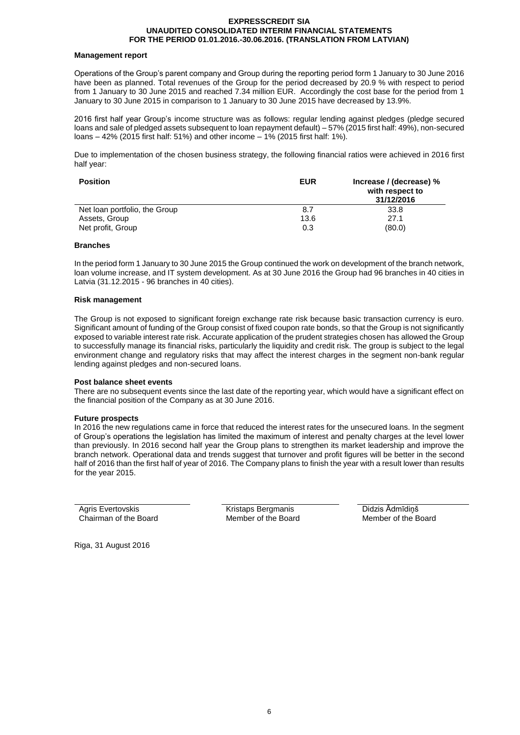#### **Management report**

Operations of the Group's parent company and Group during the reporting period form 1 January to 30 June 2016 have been as planned. Total revenues of the Group for the period decreased by 20.9 % with respect to period from 1 January to 30 June 2015 and reached 7.34 million EUR. Accordingly the cost base for the period from 1 January to 30 June 2015 in comparison to 1 January to 30 June 2015 have decreased by 13.9%.

2016 first half year Group's income structure was as follows: regular lending against pledges (pledge secured loans and sale of pledged assets subsequent to loan repayment default) – 57% (2015 first half: 49%), non-secured loans – 42% (2015 first half: 51%) and other income – 1% (2015 first half: 1%).

Due to implementation of the chosen business strategy, the following financial ratios were achieved in 2016 first half year:

| <b>Position</b>               | <b>EUR</b> | lncrease / (decrease) %<br>with respect to<br>31/12/2016 |
|-------------------------------|------------|----------------------------------------------------------|
| Net loan portfolio, the Group | 8.7        | 33.8                                                     |
| Assets, Group                 | 13.6       | 27.1                                                     |
| Net profit, Group             | 0.3        | (80.0)                                                   |

# **Branches**

In the period form 1 January to 30 June 2015 the Group continued the work on development of the branch network, loan volume increase, and IT system development. As at 30 June 2016 the Group had 96 branches in 40 cities in Latvia (31.12.2015 - 96 branches in 40 cities).

#### **Risk management**

The Group is not exposed to significant foreign exchange rate risk because basic transaction currency is euro. Significant amount of funding of the Group consist of fixed coupon rate bonds, so that the Group is not significantly exposed to variable interest rate risk. Accurate application of the prudent strategies chosen has allowed the Group to successfully manage its financial risks, particularly the liquidity and credit risk. The group is subject to the legal environment change and regulatory risks that may affect the interest charges in the segment non-bank regular lending against pledges and non-secured loans.

#### **Post balance sheet events**

There are no subsequent events since the last date of the reporting year, which would have a significant effect on the financial position of the Company as at 30 June 2016.

# **Future prospects**

In 2016 the new regulations came in force that reduced the interest rates for the unsecured loans. In the segment of Group's operations the legislation has limited the maximum of interest and penalty charges at the level lower than previously. In 2016 second half year the Group plans to strengthen its market leadership and improve the branch network. Operational data and trends suggest that turnover and profit figures will be better in the second half of 2016 than the first half of year of 2016. The Company plans to finish the year with a result lower than results for the year 2015.

Agris Evertovskis Chairman of the Board

Kristaps Bergmanis Member of the Board Didzis Ādmīdiņš Member of the Board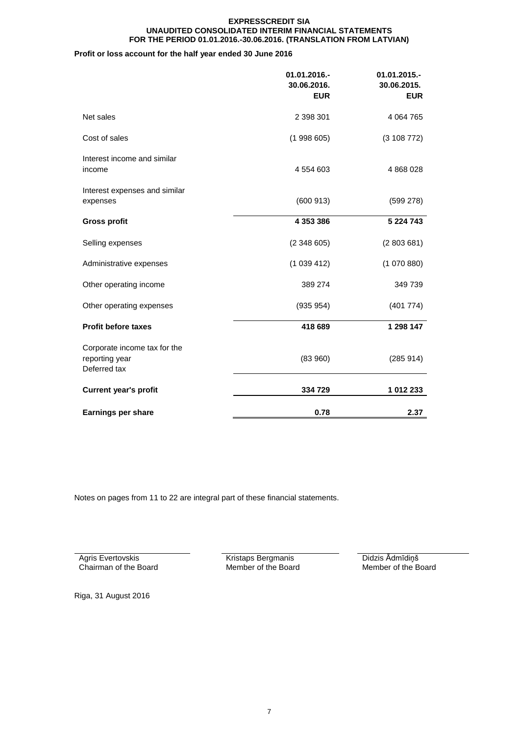# **Profit or loss account for the half year ended 30 June 2016**

|                                                                | 01.01.2016.-<br>30.06.2016.<br><b>EUR</b> | 01.01.2015.-<br>30.06.2015.<br><b>EUR</b> |
|----------------------------------------------------------------|-------------------------------------------|-------------------------------------------|
| Net sales                                                      | 2 398 301                                 | 4 0 64 7 65                               |
| Cost of sales                                                  | (1998605)                                 | (3108772)                                 |
| Interest income and similar<br>income                          | 4 554 603                                 | 4 868 028                                 |
| Interest expenses and similar<br>expenses                      | (600913)                                  | (599 278)                                 |
| <b>Gross profit</b>                                            | 4 353 386                                 | 5 224 743                                 |
| Selling expenses                                               | (2348605)                                 | (2803681)                                 |
| Administrative expenses                                        | (1039412)                                 | (1070880)                                 |
| Other operating income                                         | 389 274                                   | 349 739                                   |
| Other operating expenses                                       | (935954)                                  | (401 774)                                 |
| <b>Profit before taxes</b>                                     | 418 689                                   | 1 298 147                                 |
| Corporate income tax for the<br>reporting year<br>Deferred tax | (83960)                                   | (285914)                                  |
| <b>Current year's profit</b>                                   | 334 729                                   | 1 012 233                                 |
| <b>Earnings per share</b>                                      | 0.78                                      | 2.37                                      |

Notes on pages from 11 to 22 are integral part of these financial statements.

Agris Evertovskis Chairman of the Board Kristaps Bergmanis Member of the Board Didzis Ādmīdiņš Member of the Board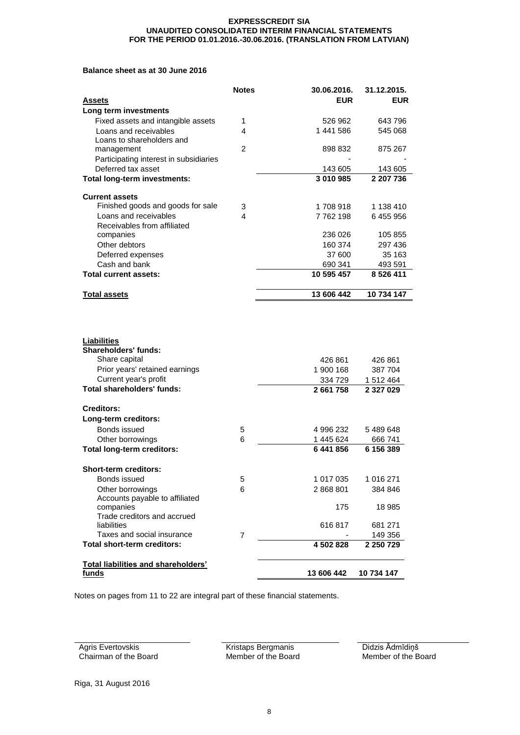# **Balance sheet as at 30 June 2016**

|                                                                                                                        | <b>Notes</b>   | 30.06.2016.                     | 31.12.2015.                     |
|------------------------------------------------------------------------------------------------------------------------|----------------|---------------------------------|---------------------------------|
| Assets                                                                                                                 |                | <b>EUR</b>                      | <b>EUR</b>                      |
| Long term investments                                                                                                  |                |                                 |                                 |
| Fixed assets and intangible assets                                                                                     | 1              | 526 962                         | 643 796                         |
| Loans and receivables                                                                                                  | 4              | 1 441 586                       | 545 068                         |
| Loans to shareholders and                                                                                              |                |                                 |                                 |
| management                                                                                                             | $\overline{2}$ | 898 832                         | 875 267                         |
| Participating interest in subsidiaries<br>Deferred tax asset                                                           |                |                                 | 143 605                         |
| Total long-term investments:                                                                                           |                | 143 605<br>3 010 985            | 2 207 736                       |
|                                                                                                                        |                |                                 |                                 |
| <b>Current assets</b>                                                                                                  |                |                                 |                                 |
| Finished goods and goods for sale                                                                                      | 3              | 1708918                         | 1 138 410                       |
| Loans and receivables                                                                                                  | 4              | 7762198                         | 6455956                         |
| Receivables from affiliated                                                                                            |                |                                 |                                 |
| companies                                                                                                              |                | 236 026                         | 105 855                         |
| Other debtors                                                                                                          |                | 160 374                         | 297 436                         |
| Deferred expenses                                                                                                      |                | 37 600                          | 35 163                          |
| Cash and bank                                                                                                          |                | 690 341                         | 493 591                         |
| Total current assets:                                                                                                  |                | 10 595 457                      | 8 5 26 4 11                     |
|                                                                                                                        |                |                                 |                                 |
| <b>Total assets</b>                                                                                                    |                | 13 606 442                      | 10 734 147                      |
| Liabilities<br><b>Shareholders' funds:</b><br>Share capital<br>Prior years' retained earnings<br>Current year's profit |                | 426 861<br>1 900 168<br>334 729 | 426 861<br>387 704<br>1 512 464 |
| <b>Total shareholders' funds:</b>                                                                                      |                | 2 661 758                       | 2 3 2 7 0 2 9                   |
| <b>Creditors:</b>                                                                                                      |                |                                 |                                 |
| Long-term creditors:                                                                                                   |                |                                 |                                 |
| Bonds issued                                                                                                           | 5              | 4 996 232                       | 5489648                         |
| Other borrowings                                                                                                       | 6              | 1445624                         | 666 741                         |
| <b>Total long-term creditors:</b>                                                                                      |                | 6441856                         | 6 156 389                       |
|                                                                                                                        |                |                                 |                                 |
| <b>Short-term creditors:</b>                                                                                           |                |                                 |                                 |
| Bonds issued                                                                                                           | 5              | 1 017 035                       | 1 016 271                       |
| Other borrowings                                                                                                       | 6              | 2 868 801                       | 384 846                         |
| Accounts payable to affiliated                                                                                         |                |                                 |                                 |
| companies                                                                                                              |                | 175                             | 18 985                          |
| Trade creditors and accrued<br>liabilities                                                                             |                | 616817                          | 681 271                         |
| Taxes and social insurance                                                                                             | 7              |                                 | 149 356                         |
| Total short-term creditors:                                                                                            |                | 4 502 828                       | 2 250 729                       |
|                                                                                                                        |                |                                 |                                 |
| Total liabilities and shareholders'                                                                                    |                |                                 |                                 |
| funds                                                                                                                  |                | 13 606 442                      | 10 734 147                      |

Notes on pages from 11 to 22 are integral part of these financial statements.

Agris Evertovskis Chairman of the Board Kristaps Bergmanis Member of the Board Didzis Ādmīdiņš Member of the Board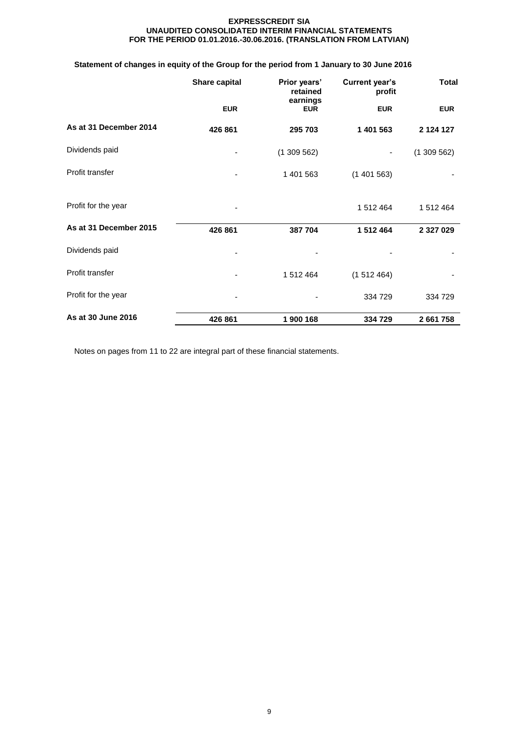# **Statement of changes in equity of the Group for the period from 1 January to 30 June 2016**

|                        | Share capital | Prior years'<br>retained<br>earnings | <b>Current year's</b><br>profit | <b>Total</b> |
|------------------------|---------------|--------------------------------------|---------------------------------|--------------|
|                        | <b>EUR</b>    | <b>EUR</b>                           | <b>EUR</b>                      | <b>EUR</b>   |
| As at 31 December 2014 | 426 861       | 295 703                              | 1 401 563                       | 2 124 127    |
| Dividends paid         |               | (1309562)                            |                                 | (1309562)    |
| Profit transfer        |               | 1 401 563                            | (1401563)                       |              |
| Profit for the year    |               |                                      | 1 512 464                       | 1 512 464    |
| As at 31 December 2015 | 426 861       | 387 704                              | 1 512 464                       | 2 327 029    |
| Dividends paid         |               |                                      |                                 |              |
| Profit transfer        |               | 1 512 464                            | (1512464)                       |              |
| Profit for the year    |               |                                      | 334 729                         | 334 729      |
| As at 30 June 2016     | 426 861       | 1 900 168                            | 334 729                         | 2 661 758    |

Notes on pages from 11 to 22 are integral part of these financial statements.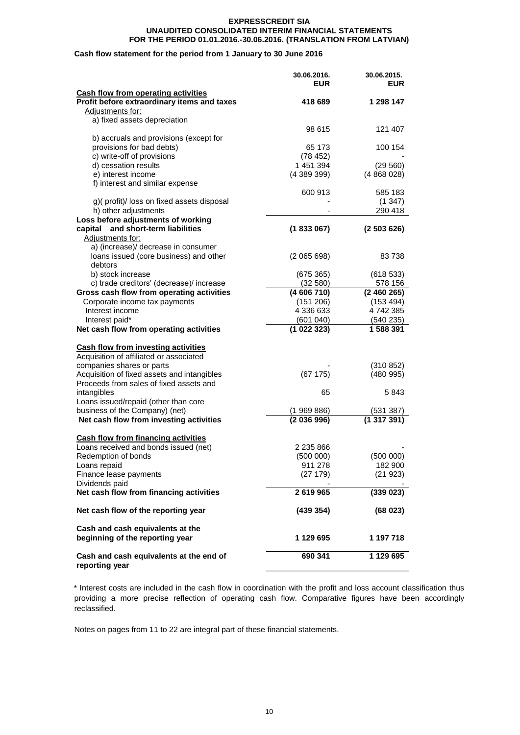# **Cash flow statement for the period from 1 January to 30 June 2016**

|                                                           | 30.06.2016.   | 30.06.2015. |
|-----------------------------------------------------------|---------------|-------------|
|                                                           | <b>EUR</b>    | <b>EUR</b>  |
| <b>Cash flow from operating activities</b>                |               |             |
| Profit before extraordinary items and taxes               | 418 689       | 1 298 147   |
| Adjustments for:                                          |               |             |
| a) fixed assets depreciation                              |               |             |
|                                                           | 98 615        | 121 407     |
| b) accruals and provisions (except for                    |               |             |
| provisions for bad debts)                                 | 65 173        | 100 154     |
| c) write-off of provisions                                | (78452)       |             |
| d) cessation results                                      | 1 451 394     | (29 560)    |
| e) interest income                                        | (438939)      | (4868028)   |
| f) interest and similar expense                           |               |             |
|                                                           | 600 913       | 585 183     |
| g)(profit)/loss on fixed assets disposal                  |               | (1347)      |
| h) other adjustments                                      |               | 290 418     |
| Loss before adjustments of working                        |               |             |
| capital and short-term liabilities                        | (1833067)     | (2503626)   |
| Adjustments for:                                          |               |             |
| a) (increase)/ decrease in consumer                       |               |             |
| loans issued (core business) and other                    | (2065698)     | 83738       |
| debtors                                                   |               |             |
| b) stock increase                                         | (675 365)     | (618533)    |
| c) trade creditors' (decrease)/ increase                  | (32 580)      | 578 156     |
| Gross cash flow from operating activities                 | (4606710)     | (2460265)   |
| Corporate income tax payments                             | (151 206)     | (153 494)   |
| Interest income                                           | 4 336 633     | 4742385     |
| Interest paid*                                            | (601040)      | (540 235)   |
| Net cash flow from operating activities                   | (102233)      | 1 588 391   |
|                                                           |               |             |
|                                                           |               |             |
| <b>Cash flow from investing activities</b>                |               |             |
| Acquisition of affiliated or associated                   |               |             |
| companies shares or parts                                 |               | (310 852)   |
| Acquisition of fixed assets and intangibles               | (67175)       | (480995)    |
| Proceeds from sales of fixed assets and                   |               |             |
| intangibles                                               | 65            | 5 843       |
| Loans issued/repaid (other than core                      |               |             |
| business of the Company) (net)                            | (1969886)     | (531 387)   |
| Net cash flow from investing activities                   | (2036996)     | (1317391)   |
|                                                           |               |             |
| <b>Cash flow from financing activities</b>                |               |             |
| Loans received and bonds issued (net)                     | 2 2 3 5 8 6 6 |             |
| Redemption of bonds                                       | (500000)      | (500000)    |
| Loans repaid                                              | 911 278       | 182 900     |
| Finance lease payments                                    | (27179)       | (21923)     |
| Dividends paid                                            |               |             |
| Net cash flow from financing activities                   | 2619965       | (339023)    |
|                                                           |               |             |
| Net cash flow of the reporting year                       | (439 354)     | (68023)     |
| Cash and cash equivalents at the                          |               |             |
| beginning of the reporting year                           | 1 129 695     | 1 197 718   |
|                                                           |               |             |
| Cash and cash equivalents at the end of<br>reporting year | 690 341       | 1 129 695   |
|                                                           |               |             |

\* Interest costs are included in the cash flow in coordination with the profit and loss account classification thus providing a more precise reflection of operating cash flow. Comparative figures have been accordingly reclassified.

Notes on pages from 11 to 22 are integral part of these financial statements.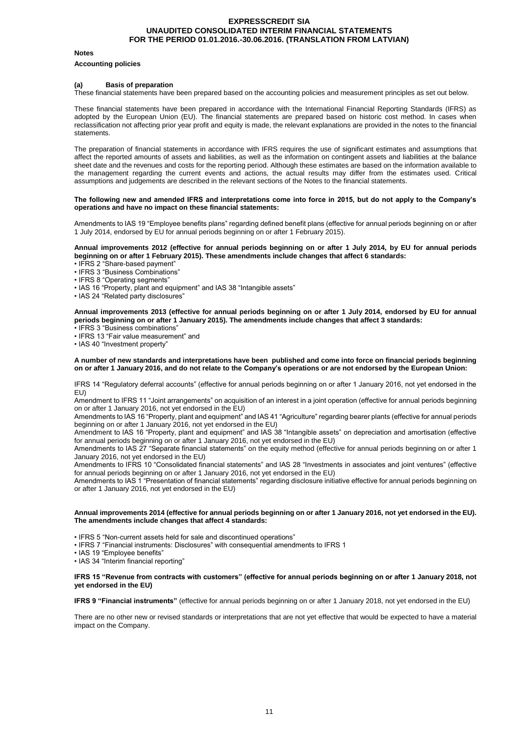#### **Notes**

#### **Accounting policies**

#### **(a) Basis of preparation**

These financial statements have been prepared based on the accounting policies and measurement principles as set out below.

These financial statements have been prepared in accordance with the International Financial Reporting Standards (IFRS) as adopted by the European Union (EU). The financial statements are prepared based on historic cost method. In cases when reclassification not affecting prior year profit and equity is made, the relevant explanations are provided in the notes to the financial statements.

The preparation of financial statements in accordance with IFRS requires the use of significant estimates and assumptions that affect the reported amounts of assets and liabilities, as well as the information on contingent assets and liabilities at the balance sheet date and the revenues and costs for the reporting period. Although these estimates are based on the information available to the management regarding the current events and actions, the actual results may differ from the estimates used. Critical assumptions and judgements are described in the relevant sections of the Notes to the financial statements.

#### **The following new and amended IFRS and interpretations come into force in 2015, but do not apply to the Company's operations and have no impact on these financial statements:**

Amendments to IAS 19 "Employee benefits plans" regarding defined benefit plans (effective for annual periods beginning on or after 1 July 2014, endorsed by EU for annual periods beginning on or after 1 February 2015).

#### **Annual improvements 2012 (effective for annual periods beginning on or after 1 July 2014, by EU for annual periods beginning on or after 1 February 2015). These amendments include changes that affect 6 standards:**

- IFRS 2 "Share-based payment"
- IFRS 3 "Business Combinations"
- IFRS 8 "Operating segments"
- IAS 16 "Property, plant and equipment" and IAS 38 "Intangible assets"
- IAS 24 "Related party disclosures"

**Annual improvements 2013 (effective for annual periods beginning on or after 1 July 2014, endorsed by EU for annual periods beginning on or after 1 January 2015). The amendments include changes that affect 3 standards:**

- IFRS 3 "Business combinations"
- IFRS 13 "Fair value measurement" and

• IAS 40 "Investment property"

**A number of new standards and interpretations have been published and come into force on financial periods beginning on or after 1 January 2016, and do not relate to the Company's operations or are not endorsed by the European Union:**

IFRS 14 "Regulatory deferral accounts" (effective for annual periods beginning on or after 1 January 2016, not yet endorsed in the EU)

Amendment to IFRS 11 "Joint arrangements" on acquisition of an interest in a joint operation (effective for annual periods beginning on or after 1 January 2016, not yet endorsed in the EU)

Amendments to IAS 16 "Property, plant and equipment" and IAS 41 "Agriculture" regarding bearer plants (effective for annual periods beginning on or after 1 January 2016, not yet endorsed in the EU)

Amendment to IAS 16 "Property, plant and equipment" and IAS 38 "Intangible assets" on depreciation and amortisation (effective for annual periods beginning on or after 1 January 2016, not yet endorsed in the EU)

Amendments to IAS 27 "Separate financial statements" on the equity method (effective for annual periods beginning on or after 1 January 2016, not yet endorsed in the EU)

Amendments to IFRS 10 "Consolidated financial statements" and IAS 28 "Investments in associates and joint ventures" (effective for annual periods beginning on or after 1 January 2016, not yet endorsed in the EU)

Amendments to IAS 1 "Presentation of financial statements" regarding disclosure initiative effective for annual periods beginning on or after 1 January 2016, not yet endorsed in the EU)

#### **Annual improvements 2014 (effective for annual periods beginning on or after 1 January 2016, not yet endorsed in the EU). The amendments include changes that affect 4 standards:**

• IFRS 5 "Non-current assets held for sale and discontinued operations"

- IFRS 7 "Financial instruments: Disclosures" with consequential amendments to IFRS 1
- IAS 19 "Employee benefits"
- IAS 34 "Interim financial reporting"

#### **IFRS 15 "Revenue from contracts with customers" (effective for annual periods beginning on or after 1 January 2018, not yet endorsed in the EU)**

**IFRS 9 "Financial instruments"** (effective for annual periods beginning on or after 1 January 2018, not yet endorsed in the EU)

There are no other new or revised standards or interpretations that are not yet effective that would be expected to have a material impact on the Company.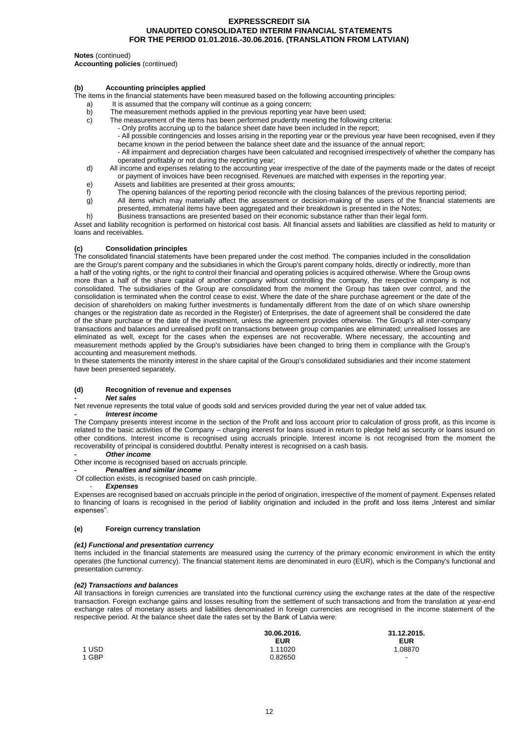#### **Notes** (continued)

**Accounting policies** (continued)

#### **(b) Accounting principles applied**

The items in the financial statements have been measured based on the following accounting principles:

- a) It is assumed that the company will continue as a going concern;<br>b) The measurement methods applied in the previous reporting year
- b) The measurement methods applied in the previous reporting year have been used;<br>c) The measurement of the items has been performed prudently meeting the following
	- The measurement of the items has been performed prudently meeting the following criteria:
		- Only profits accruing up to the balance sheet date have been included in the report;
		- All possible contingencies and losses arising in the reporting year or the previous year have been recognised, even if they became known in the period between the balance sheet date and the issuance of the annual report;
		- All impairment and depreciation charges have been calculated and recognised irrespectively of whether the company has operated profitably or not during the reporting year;
- d) All income and expenses relating to the accounting year irrespective of the date of the payments made or the dates of receipt or payment of invoices have been recognised. Revenues are matched with expenses in the reporting year.
- e) Assets and liabilities are presented at their gross amounts;
- f) The opening balances of the reporting period reconcile with the closing balances of the previous reporting period;
- g) All items which may materially affect the assessment or decision-making of the users of the financial statements are presented, immaterial items have been aggregated and their breakdown is presented in the Notes;
- h) Business transactions are presented based on their economic substance rather than their legal form.

Asset and liability recognition is performed on historical cost basis. All financial assets and liabilities are classified as held to maturity or loans and receivables.

#### **(c) Consolidation principles**

The consolidated financial statements have been prepared under the cost method. The companies included in the consolidation are the Group's parent company and the subsidiaries in which the Group's parent company holds, directly or indirectly, more than a half of the voting rights, or the right to control their financial and operating policies is acquired otherwise. Where the Group owns more than a half of the share capital of another company without controlling the company, the respective company is not consolidated. The subsidiaries of the Group are consolidated from the moment the Group has taken over control, and the consolidation is terminated when the control cease to exist. Where the date of the share purchase agreement or the date of the decision of shareholders on making further investments is fundamentally different from the date of on which share ownership changes or the registration date as recorded in the Register) of Enterprises, the date of agreement shall be considered the date of the share purchase or the date of the investment, unless the agreement provides otherwise. The Group's all inter-company transactions and balances and unrealised profit on transactions between group companies are eliminated; unrealised losses are eliminated as well, except for the cases when the expenses are not recoverable. Where necessary, the accounting and measurement methods applied by the Group's subsidiaries have been changed to bring them in compliance with the Group's accounting and measurement methods.

In these statements the minority interest in the share capital of the Group's consolidated subsidiaries and their income statement have been presented separately.

#### **(d) Recognition of revenue and expenses**

#### *- Net sales*

Net revenue represents the total value of goods sold and services provided during the year net of value added tax.

#### *- Interest income*

The Company presents interest income in the section of the Profit and loss account prior to calculation of gross profit, as this income is related to the basic activities of the Company – charging interest for loans issued in return to pledge held as security or loans issued on other conditions. Interest income is recognised using accruals principle. Interest income is not recognised from the moment the recoverability of principal is considered doubtful. Penalty interest is recognised on a cash basis.

#### *- Other income*

Other income is recognised based on accruals principle.

*- Penalties and similar income*

Of collection exists, is recognised based on cash principle.

#### - *Expenses*

Expenses are recognised based on accruals principle in the period of origination, irrespective of the moment of payment. Expenses related to financing of loans is recognised in the period of liability origination and included in the profit and loss items "Interest and similar expenses".

#### **(e) Foreign currency translation**

#### *(e1) Functional and presentation currency*

Items included in the financial statements are measured using the currency of the primary economic environment in which the entity operates (the functional currency). The financial statement items are denominated in euro (EUR), which is the Company's functional and presentation currency.

# *(e2) Transactions and balances*

All transactions in foreign currencies are translated into the functional currency using the exchange rates at the date of the respective transaction. Foreign exchange gains and losses resulting from the settlement of such transactions and from the translation at year-end exchange rates of monetary assets and liabilities denominated in foreign currencies are recognised in the income statement of the respective period. At the balance sheet date the rates set by the Bank of Latvia were:

**30.06.2016. 31.12.2015.**

**EUR EUR**

1.08870 -

|       | <b>EUR</b> |
|-------|------------|
| 1 USD | 1.11020    |
| 1 GBP | 0.82650    |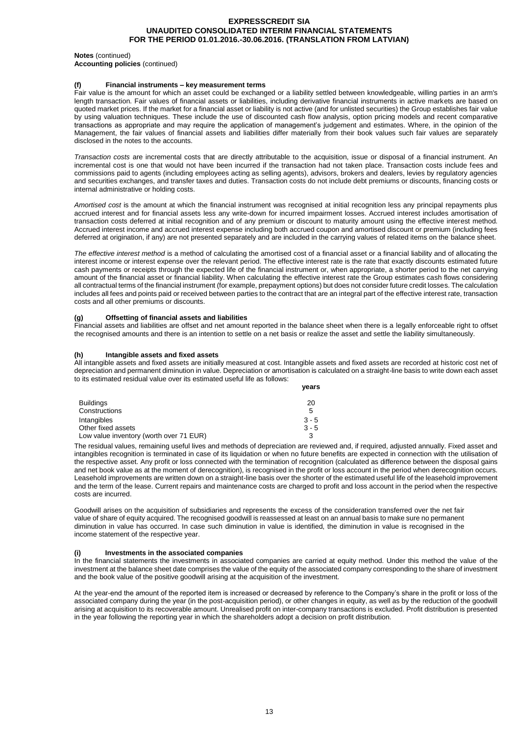#### **Notes** (continued)

**Accounting policies** (continued)

#### **(f) Financial instruments – key measurement terms**

Fair value is the amount for which an asset could be exchanged or a liability settled between knowledgeable, willing parties in an arm's length transaction. Fair values of financial assets or liabilities, including derivative financial instruments in active markets are based on quoted market prices. If the market for a financial asset or liability is not active (and for unlisted securities) the Group establishes fair value by using valuation techniques. These include the use of discounted cash flow analysis, option pricing models and recent comparative transactions as appropriate and may require the application of management's judgement and estimates. Where, in the opinion of the Management, the fair values of financial assets and liabilities differ materially from their book values such fair values are separately disclosed in the notes to the accounts.

*Transaction costs* are incremental costs that are directly attributable to the acquisition, issue or disposal of a financial instrument. An incremental cost is one that would not have been incurred if the transaction had not taken place. Transaction costs include fees and commissions paid to agents (including employees acting as selling agents), advisors, brokers and dealers, levies by regulatory agencies and securities exchanges, and transfer taxes and duties. Transaction costs do not include debt premiums or discounts, financing costs or internal administrative or holding costs.

Amortised cost is the amount at which the financial instrument was recognised at initial recognition less any principal repayments plus accrued interest and for financial assets less any write-down for incurred impairment losses. Accrued interest includes amortisation of transaction costs deferred at initial recognition and of any premium or discount to maturity amount using the effective interest method. Accrued interest income and accrued interest expense including both accrued coupon and amortised discount or premium (including fees deferred at origination, if any) are not presented separately and are included in the carrying values of related items on the balance sheet.

*The effective interest method* is a method of calculating the amortised cost of a financial asset or a financial liability and of allocating the interest income or interest expense over the relevant period. The effective interest rate is the rate that exactly discounts estimated future cash payments or receipts through the expected life of the financial instrument or, when appropriate, a shorter period to the net carrying amount of the financial asset or financial liability. When calculating the effective interest rate the Group estimates cash flows considering all contractual terms of the financial instrument (for example, prepayment options) but does not consider future credit losses. The calculation includes all fees and points paid or received between parties to the contract that are an integral part of the effective interest rate, transaction costs and all other premiums or discounts.

# **(g) Offsetting of financial assets and liabilities**

Financial assets and liabilities are offset and net amount reported in the balance sheet when there is a legally enforceable right to offset the recognised amounts and there is an intention to settle on a net basis or realize the asset and settle the liability simultaneously.

#### **(h) Intangible assets and fixed assets**

All intangible assets and fixed assets are initially measured at cost. Intangible assets and fixed assets are recorded at historic cost net of depreciation and permanent diminution in value. Depreciation or amortisation is calculated on a straight-line basis to write down each asset to its estimated residual value over its estimated useful life as follows: **years**

| <b>Buildings</b>                        | 20      |
|-----------------------------------------|---------|
| Constructions                           | 5       |
| Intangibles                             | $3 - 5$ |
| Other fixed assets                      | $3 - 5$ |
| Low value inventory (worth over 71 EUR) |         |

The residual values, remaining useful lives and methods of depreciation are reviewed and, if required, adjusted annually. Fixed asset and intangibles recognition is terminated in case of its liquidation or when no future benefits are expected in connection with the utilisation of the respective asset. Any profit or loss connected with the termination of recognition (calculated as difference between the disposal gains and net book value as at the moment of derecognition), is recognised in the profit or loss account in the period when derecognition occurs. Leasehold improvements are written down on a straight-line basis over the shorter of the estimated useful life of the leasehold improvement and the term of the lease. Current repairs and maintenance costs are charged to profit and loss account in the period when the respective costs are incurred.

Goodwill arises on the acquisition of subsidiaries and represents the excess of the consideration transferred over the net fair value of share of equity acquired. The recognised goodwill is reassessed at least on an annual basis to make sure no permanent diminution in value has occurred. In case such diminution in value is identified, the diminution in value is recognised in the income statement of the respective year.

#### **(i) Investments in the associated companies**

In the financial statements the investments in associated companies are carried at equity method. Under this method the value of the investment at the balance sheet date comprises the value of the equity of the associated company corresponding to the share of investment and the book value of the positive goodwill arising at the acquisition of the investment.

At the year-end the amount of the reported item is increased or decreased by reference to the Company's share in the profit or loss of the associated company during the year (in the post-acquisition period), or other changes in equity, as well as by the reduction of the goodwill arising at acquisition to its recoverable amount. Unrealised profit on inter-company transactions is excluded. Profit distribution is presented in the year following the reporting year in which the shareholders adopt a decision on profit distribution.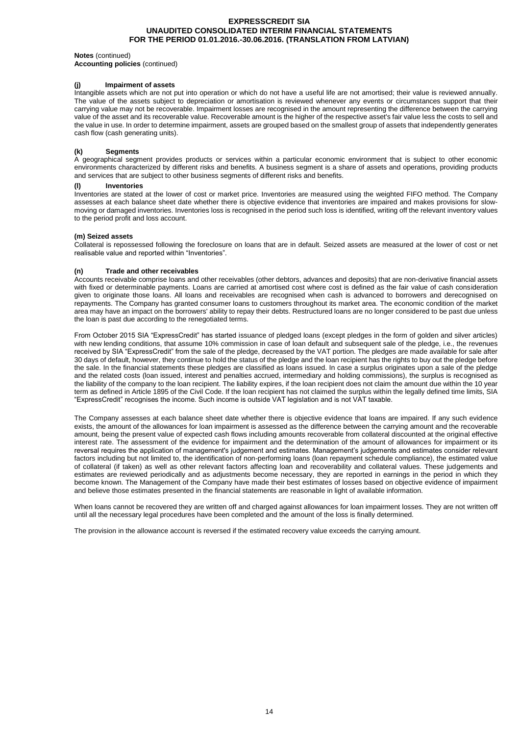#### **Notes** (continued)

**Accounting policies** (continued)

# **(j) Impairment of assets**

Intangible assets which are not put into operation or which do not have a useful life are not amortised; their value is reviewed annually. The value of the assets subject to depreciation or amortisation is reviewed whenever any events or circumstances support that their carrying value may not be recoverable. Impairment losses are recognised in the amount representing the difference between the carrying value of the asset and its recoverable value. Recoverable amount is the higher of the respective asset's fair value less the costs to sell and the value in use. In order to determine impairment, assets are grouped based on the smallest group of assets that independently generates cash flow (cash generating units).

# **(k) Segments**

A geographical segment provides products or services within a particular economic environment that is subject to other economic environments characterized by different risks and benefits. A business segment is a share of assets and operations, providing products and services that are subject to other business segments of different risks and benefits.

# **(l) Inventories**

Inventories are stated at the lower of cost or market price. Inventories are measured using the weighted FIFO method. The Company assesses at each balance sheet date whether there is objective evidence that inventories are impaired and makes provisions for slowmoving or damaged inventories. Inventories loss is recognised in the period such loss is identified, writing off the relevant inventory values to the period profit and loss account.

#### **(m) Seized assets**

Collateral is repossessed following the foreclosure on loans that are in default. Seized assets are measured at the lower of cost or net realisable value and reported within "Inventories".

#### **(n) Trade and other receivables**

Accounts receivable comprise loans and other receivables (other debtors, advances and deposits) that are non-derivative financial assets with fixed or determinable payments. Loans are carried at amortised cost where cost is defined as the fair value of cash consideration given to originate those loans. All loans and receivables are recognised when cash is advanced to borrowers and derecognised on repayments. The Company has granted consumer loans to customers throughout its market area. The economic condition of the market area may have an impact on the borrowers' ability to repay their debts. Restructured loans are no longer considered to be past due unless the loan is past due according to the renegotiated terms.

From October 2015 SIA "ExpressCredit" has started issuance of pledged loans (except pledges in the form of golden and silver articles) with new lending conditions, that assume 10% commission in case of loan default and subsequent sale of the pledge, i.e., the revenues received by SIA "ExpressCredit" from the sale of the pledge, decreased by the VAT portion. The pledges are made available for sale after 30 days of default, however, they continue to hold the status of the pledge and the loan recipient has the rights to buy out the pledge before the sale. In the financial statements these pledges are classified as loans issued. In case a surplus originates upon a sale of the pledge and the related costs (loan issued, interest and penalties accrued, intermediary and holding commissions), the surplus is recognised as the liability of the company to the loan recipient. The liability expires, if the loan recipient does not claim the amount due within the 10 year term as defined in Article 1895 of the Civil Code. If the loan recipient has not claimed the surplus within the legally defined time limits, SIA "ExpressCredit" recognises the income. Such income is outside VAT legislation and is not VAT taxable.

The Company assesses at each balance sheet date whether there is objective evidence that loans are impaired. If any such evidence exists, the amount of the allowances for loan impairment is assessed as the difference between the carrying amount and the recoverable amount, being the present value of expected cash flows including amounts recoverable from collateral discounted at the original effective interest rate. The assessment of the evidence for impairment and the determination of the amount of allowances for impairment or its reversal requires the application of management's judgement and estimates. Management's judgements and estimates consider relevant factors including but not limited to, the identification of non-performing loans (loan repayment schedule compliance), the estimated value of collateral (if taken) as well as other relevant factors affecting loan and recoverability and collateral values. These judgements and estimates are reviewed periodically and as adjustments become necessary, they are reported in earnings in the period in which they become known. The Management of the Company have made their best estimates of losses based on objective evidence of impairment and believe those estimates presented in the financial statements are reasonable in light of available information.

When loans cannot be recovered they are written off and charged against allowances for loan impairment losses. They are not written off until all the necessary legal procedures have been completed and the amount of the loss is finally determined.

The provision in the allowance account is reversed if the estimated recovery value exceeds the carrying amount.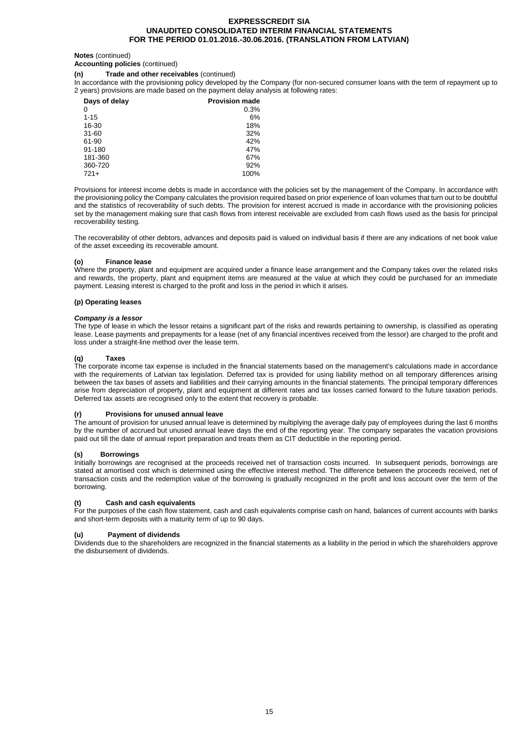#### **Notes** (continued)

## **Accounting policies** (continued)

# **(n) Trade and other receivables** (continued)

In accordance with the provisioning policy developed by the Company (for non-secured consumer loans with the term of repayment up to 2 years) provisions are made based on the payment delay analysis at following rates:

| Days of delay | <b>Provision made</b> |
|---------------|-----------------------|
| 0             | 0.3%                  |
| $1 - 15$      | 6%                    |
| 16-30         | 18%                   |
| $31 - 60$     | 32%                   |
| 61-90         | 42%                   |
| 91-180        | 47%                   |
| 181-360       | 67%                   |
| 360-720       | 92%                   |
| $721+$        | 100%                  |

Provisions for interest income debts is made in accordance with the policies set by the management of the Company. In accordance with the provisioning policy the Company calculates the provision required based on prior experience of loan volumes that turn out to be doubtful and the statistics of recoverability of such debts. The provision for interest accrued is made in accordance with the provisioning policies set by the management making sure that cash flows from interest receivable are excluded from cash flows used as the basis for principal recoverability testing.

The recoverability of other debtors, advances and deposits paid is valued on individual basis if there are any indications of net book value of the asset exceeding its recoverable amount.

#### **(o) Finance lease**

Where the property, plant and equipment are acquired under a finance lease arrangement and the Company takes over the related risks and rewards, the property, plant and equipment items are measured at the value at which they could be purchased for an immediate payment. Leasing interest is charged to the profit and loss in the period in which it arises.

# **(p) Operating leases**

#### *Company is a lessor*

The type of lease in which the lessor retains a significant part of the risks and rewards pertaining to ownership, is classified as operating lease. Lease payments and prepayments for a lease (net of any financial incentives received from the lessor) are charged to the profit and loss under a straight-line method over the lease term.

#### **(q) Taxes**

The corporate income tax expense is included in the financial statements based on the management's calculations made in accordance with the requirements of Latvian tax legislation. Deferred tax is provided for using liability method on all temporary differences arising between the tax bases of assets and liabilities and their carrying amounts in the financial statements. The principal temporary differences arise from depreciation of property, plant and equipment at different rates and tax losses carried forward to the future taxation periods. Deferred tax assets are recognised only to the extent that recovery is probable.

# **(r) Provisions for unused annual leave**

The amount of provision for unused annual leave is determined by multiplying the average daily pay of employees during the last 6 months by the number of accrued but unused annual leave days the end of the reporting year. The company separates the vacation provisions paid out till the date of annual report preparation and treats them as CIT deductible in the reporting period.

#### **(s) Borrowings**

Initially borrowings are recognised at the proceeds received net of transaction costs incurred. In subsequent periods, borrowings are stated at amortised cost which is determined using the effective interest method. The difference between the proceeds received, net of transaction costs and the redemption value of the borrowing is gradually recognized in the profit and loss account over the term of the borrowing.

# **(t) Cash and cash equivalents**

For the purposes of the cash flow statement, cash and cash equivalents comprise cash on hand, balances of current accounts with banks and short-term deposits with a maturity term of up to 90 days.

#### **(u) Payment of dividends**

Dividends due to the shareholders are recognized in the financial statements as a liability in the period in which the shareholders approve the disbursement of dividends.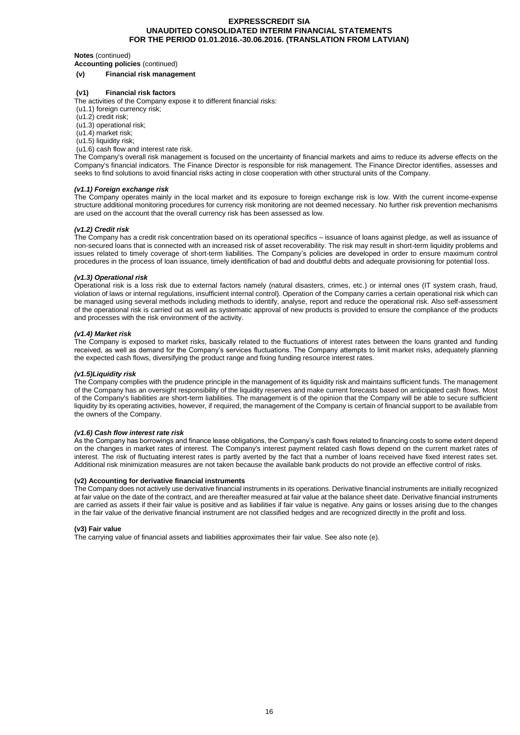#### **Notes** (continued)

**Accounting policies** (continued)

#### **(v) Financial risk management**

#### **(v1) Financial risk factors**

The activities of the Company expose it to different financial risks:

(u1.1) foreign currency risk;

(u1.2) credit risk;

(u1.3) operational risk; (u1.4) market risk;

(u1.5) liquidity risk;

(u1.6) cash flow and interest rate risk.

The Company's overall risk management is focused on the uncertainty of financial markets and aims to reduce its adverse effects on the

Company's financial indicators. The Finance Director is responsible for risk management. The Finance Director identifies, assesses and seeks to find solutions to avoid financial risks acting in close cooperation with other structural units of the Company.

# *(v1.1) Foreign exchange risk*

The Company operates mainly in the local market and its exposure to foreign exchange risk is low. With the current income-expense structure additional monitoring procedures for currency risk monitoring are not deemed necessary. No further risk prevention mechanisms are used on the account that the overall currency risk has been assessed as low.

#### *(v1.2) Credit risk*

The Company has a credit risk concentration based on its operational specifics – issuance of loans against pledge, as well as issuance of non-secured loans that is connected with an increased risk of asset recoverability. The risk may result in short-term liquidity problems and issues related to timely coverage of short-term liabilities. The Company's policies are developed in order to ensure maximum control procedures in the process of loan issuance, timely identification of bad and doubtful debts and adequate provisioning for potential loss.

#### *(v1.3) Operational risk*

Operational risk is a loss risk due to external factors namely (natural disasters, crimes, etc.) or internal ones (IT system crash, fraud, violation of laws or internal regulations, insufficient internal control). Operation of the Company carries a certain operational risk which can be managed using several methods including methods to identify, analyse, report and reduce the operational risk. Also self-assessment of the operational risk is carried out as well as systematic approval of new products is provided to ensure the compliance of the products and processes with the risk environment of the activity.

# *(v1.4) Market risk*

The Company is exposed to market risks, basically related to the fluctuations of interest rates between the loans granted and funding received, as well as demand for the Company's services fluctuations. The Company attempts to limit market risks, adequately planning the expected cash flows, diversifying the product range and fixing funding resource interest rates.

# *(v1.5)Liquidity risk*

The Company complies with the prudence principle in the management of its liquidity risk and maintains sufficient funds. The management of the Company has an oversight responsibility of the liquidity reserves and make current forecasts based on anticipated cash flows. Most of the Company's liabilities are short-term liabilities. The management is of the opinion that the Company will be able to secure sufficient liquidity by its operating activities, however, if required, the management of the Company is certain of financial support to be available from the owners of the Company.

#### *(v1.6) Cash flow interest rate risk*

As the Company has borrowings and finance lease obligations, the Company's cash flows related to financing costs to some extent depend on the changes in market rates of interest. The Company's interest payment related cash flows depend on the current market rates of interest. The risk of fluctuating interest rates is partly averted by the fact that a number of loans received have fixed interest rates set. Additional risk minimization measures are not taken because the available bank products do not provide an effective control of risks.

#### **(v2) Accounting for derivative financial instruments**

The Company does not actively use derivative financial instruments in its operations. Derivative financial instruments are initially recognized at fair value on the date of the contract, and are thereafter measured at fair value at the balance sheet date. Derivative financial instruments are carried as assets if their fair value is positive and as liabilities if fair value is negative. Any gains or losses arising due to the changes in the fair value of the derivative financial instrument are not classified hedges and are recognized directly in the profit and loss.

#### **(v3) Fair value**

The carrying value of financial assets and liabilities approximates their fair value. See also note (e).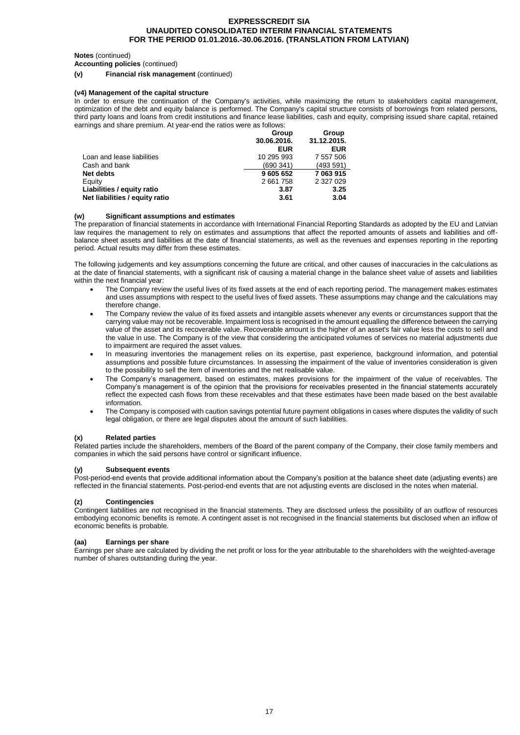#### **Notes** (continued)

**Accounting policies** (continued)

**(v) Financial risk management** (continued)

### **(v4) Management of the capital structure**

In order to ensure the continuation of the Company's activities, while maximizing the return to stakeholders capital management, optimization of the debt and equity balance is performed. The Company's capital structure consists of borrowings from related persons, third party loans and loans from credit institutions and finance lease liabilities, cash and equity, comprising issued share capital, retained earnings and share premium. At year-end the ratios were as follows:

|                                | Group<br>30.06.2016. | Group<br>31.12.2015. |
|--------------------------------|----------------------|----------------------|
|                                | <b>EUR</b>           | <b>EUR</b>           |
| Loan and lease liabilities     | 10 295 993           | 7 557 506            |
| Cash and bank                  | (690341)             | (493 591)            |
| Net debts                      | 9 605 652            | 7 063 915            |
| Equity                         | 2 661 758            | 2 327 029            |
| Liabilities / equity ratio     | 3.87                 | 3.25                 |
| Net liabilities / equity ratio | 3.61                 | 3.04                 |

#### **(w) Significant assumptions and estimates**

The preparation of financial statements in accordance with International Financial Reporting Standards as adopted by the EU and Latvian law requires the management to rely on estimates and assumptions that affect the reported amounts of assets and liabilities and offbalance sheet assets and liabilities at the date of financial statements, as well as the revenues and expenses reporting in the reporting period. Actual results may differ from these estimates.

The following judgements and key assumptions concerning the future are critical, and other causes of inaccuracies in the calculations as at the date of financial statements, with a significant risk of causing a material change in the balance sheet value of assets and liabilities within the next financial year:

- The Company review the useful lives of its fixed assets at the end of each reporting period. The management makes estimates and uses assumptions with respect to the useful lives of fixed assets. These assumptions may change and the calculations may therefore change.
- The Company review the value of its fixed assets and intangible assets whenever any events or circumstances support that the carrying value may not be recoverable. Impairment loss is recognised in the amount equalling the difference between the carrying value of the asset and its recoverable value. Recoverable amount is the higher of an asset's fair value less the costs to sell and the value in use. The Company is of the view that considering the anticipated volumes of services no material adjustments due to impairment are required the asset values.
- In measuring inventories the management relies on its expertise, past experience, background information, and potential assumptions and possible future circumstances. In assessing the impairment of the value of inventories consideration is given to the possibility to sell the item of inventories and the net realisable value.
- The Company's management, based on estimates, makes provisions for the impairment of the value of receivables. The Company's management is of the opinion that the provisions for receivables presented in the financial statements accurately reflect the expected cash flows from these receivables and that these estimates have been made based on the best available information.
- The Company is composed with caution savings potential future payment obligations in cases where disputes the validity of such legal obligation, or there are legal disputes about the amount of such liabilities.

#### **(x) Related parties**

Related parties include the shareholders, members of the Board of the parent company of the Company, their close family members and companies in which the said persons have control or significant influence.

#### **(y) Subsequent events**

Post-period-end events that provide additional information about the Company's position at the balance sheet date (adjusting events) are reflected in the financial statements. Post-period-end events that are not adjusting events are disclosed in the notes when material.

#### **(z) Contingencies**

Contingent liabilities are not recognised in the financial statements. They are disclosed unless the possibility of an outflow of resources embodying economic benefits is remote. A contingent asset is not recognised in the financial statements but disclosed when an inflow of economic benefits is probable.

#### **(aa) Earnings per share**

Earnings per share are calculated by dividing the net profit or loss for the year attributable to the shareholders with the weighted-average number of shares outstanding during the year.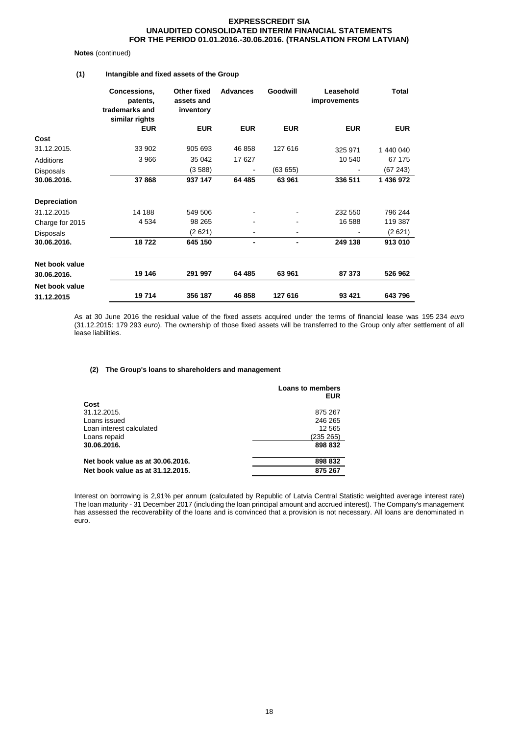#### **Notes** (continued)

# **(1) Intangible and fixed assets of the Group**

|                     | Concessions,<br>patents,<br>trademarks and<br>similar rights | Other fixed<br>assets and<br>inventory | <b>Advances</b> | <b>Goodwill</b> | Leasehold<br>improvements | <b>Total</b> |
|---------------------|--------------------------------------------------------------|----------------------------------------|-----------------|-----------------|---------------------------|--------------|
|                     | <b>EUR</b>                                                   | <b>EUR</b>                             | <b>EUR</b>      | <b>EUR</b>      | <b>EUR</b>                | <b>EUR</b>   |
| Cost                |                                                              |                                        |                 |                 |                           |              |
| 31.12.2015.         | 33 902                                                       | 905 693                                | 46 858          | 127 616         | 325 971                   | 1 440 040    |
| <b>Additions</b>    | 3 9 6 6                                                      | 35 042                                 | 17 627          |                 | 10 540                    | 67 175       |
| <b>Disposals</b>    |                                                              | (3588)                                 |                 | (6365)          |                           | (67243)      |
| 30.06.2016.         | 37 868                                                       | 937 147                                | 64 485          | 63961           | 336 511                   | 1 436 972    |
| <b>Depreciation</b> |                                                              |                                        |                 |                 |                           |              |
| 31.12.2015          | 14 188                                                       | 549 506                                |                 |                 | 232 550                   | 796 244      |
| Charge for 2015     | 4 5 3 4                                                      | 98 265                                 |                 |                 | 16 588                    | 119 387      |
| <b>Disposals</b>    |                                                              | (2 621)                                |                 |                 |                           | (2621)       |
| 30.06.2016.         | 18722                                                        | 645 150                                | $\blacksquare$  | ٠               | 249 138                   | 913 010      |
| Net book value      |                                                              |                                        |                 |                 |                           |              |
| 30.06.2016.         | 19 146                                                       | 291 997                                | 64 485          | 63 961          | 87 373                    | 526 962      |
| Net book value      |                                                              |                                        |                 |                 |                           |              |
| 31.12.2015          | 19714                                                        | 356 187                                | 46 858          | 127 616         | 93 4 21                   | 643796       |

As at 30 June 2016 the residual value of the fixed assets acquired under the terms of financial lease was 195 234 *euro* (31.12.2015: 179 293 *euro*). The ownership of those fixed assets will be transferred to the Group only after settlement of all lease liabilities.

#### **(2) The Group's loans to shareholders and management**

|                                  | <b>Loans to members</b><br><b>EUR</b> |
|----------------------------------|---------------------------------------|
| Cost                             |                                       |
| 31.12.2015.                      | 875 267                               |
| Loans issued                     | 246 265                               |
| Loan interest calculated         | 12 5 65                               |
| Loans repaid                     | (235 265)                             |
| 30.06.2016.                      | 898 832                               |
| Net book value as at 30.06.2016. | 898 832                               |
| Net book value as at 31.12.2015. | 875 267                               |
|                                  |                                       |

Interest on borrowing is 2,91% per annum (calculated by Republic of Latvia Central Statistic weighted average interest rate) The loan maturity - 31 December 2017 (including the loan principal amount and accrued interest). The Company's management has assessed the recoverability of the loans and is convinced that a provision is not necessary. All loans are denominated in euro.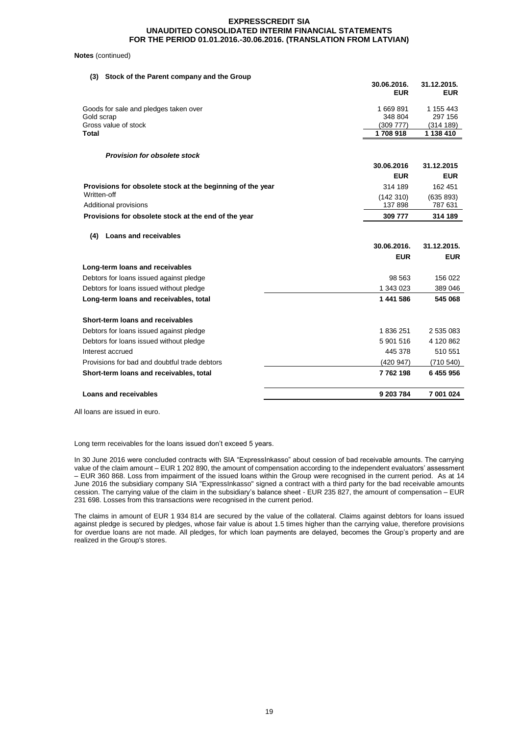#### **Notes** (continued)

| Stock of the Parent company and the Group<br>(3)           | 30.06.2016.<br><b>EUR</b> | 31.12.2015.<br><b>EUR</b> |
|------------------------------------------------------------|---------------------------|---------------------------|
| Goods for sale and pledges taken over                      | 1669891                   | 1 155 443                 |
| Gold scrap                                                 | 348 804                   | 297 156                   |
| Gross value of stock<br><b>Total</b>                       | (309777)<br>1708918       | (314 189)<br>1 138 410    |
|                                                            |                           |                           |
| <b>Provision for obsolete stock</b>                        |                           |                           |
|                                                            | 30.06.2016                | 31.12.2015                |
|                                                            | <b>EUR</b>                | <b>EUR</b>                |
| Provisions for obsolete stock at the beginning of the year | 314 189                   | 162 451                   |
| Written-off                                                | (142310)                  | (635 893)                 |
| Additional provisions                                      | 137898                    | 787 631                   |
| Provisions for obsolete stock at the end of the year       | 309 777                   | 314 189                   |
| <b>Loans and receivables</b><br>(4)                        |                           |                           |
|                                                            | 30.06.2016.               | 31.12.2015.               |
|                                                            | <b>EUR</b>                | <b>EUR</b>                |
| Long-term loans and receivables                            |                           |                           |
| Debtors for loans issued against pledge                    | 98 563                    | 156 022                   |
| Debtors for loans issued without pledge                    | 1 343 023                 | 389 046                   |
| Long-term loans and receivables, total                     | 1 441 586                 | 545 068                   |
|                                                            |                           |                           |
| Short-term loans and receivables                           |                           |                           |
| Debtors for loans issued against pledge                    | 1836251                   | 2 535 083                 |
| Debtors for loans issued without pledge                    | 5 901 516                 | 4 120 862                 |
| Interest accrued                                           | 445 378                   | 510 551                   |
| Provisions for bad and doubtful trade debtors              | (420947)                  | (710540)                  |
| Short-term loans and receivables, total                    | 7762198                   | 6455956                   |

All loans are issued in euro.

Long term receivables for the loans issued don't exceed 5 years.

In 30 June 2016 were concluded contracts with SIA "ExpressInkasso" about cession of bad receivable amounts. The carrying value of the claim amount – EUR 1 202 890, the amount of compensation according to the independent evaluators' assessment – EUR 360 868. Loss from impairment of the issued loans within the Group were recognised in the current period. As at 14 June 2016 the subsidiary company SIA "ExpressInkasso" signed a contract with a third party for the bad receivable amounts cession. The carrying value of the claim in the subsidiary's balance sheet - EUR 235 827, the amount of compensation – EUR 231 698. Losses from this transactions were recognised in the current period.

The claims in amount of EUR 1 934 814 are secured by the value of the collateral. Claims against debtors for loans issued against pledge is secured by pledges, whose fair value is about 1.5 times higher than the carrying value, therefore provisions for overdue loans are not made. All pledges, for which loan payments are delayed, becomes the Group's property and are realized in the Group's stores.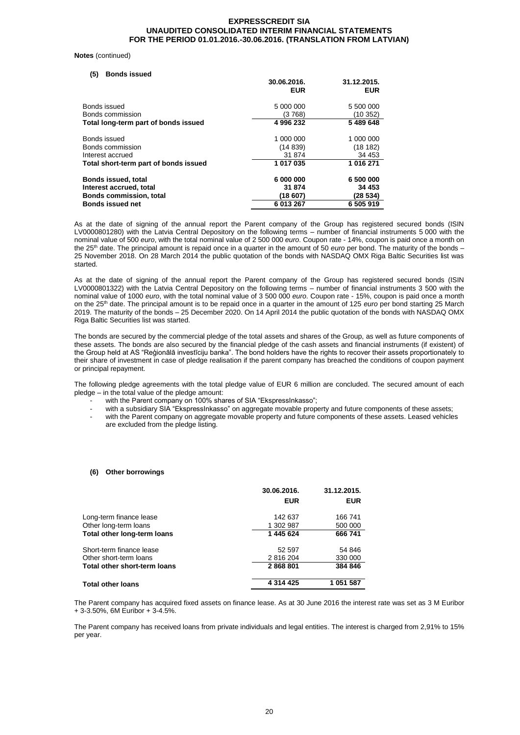#### **Notes** (continued)

| <b>Bonds issued</b><br>(5)            |             |             |
|---------------------------------------|-------------|-------------|
|                                       | 30.06.2016. | 31.12.2015. |
|                                       | <b>EUR</b>  | <b>EUR</b>  |
| Bonds issued                          | 5 000 000   | 5 500 000   |
| Bonds commission                      | (3 768)     | (10352)     |
| Total long-term part of bonds issued  | 4 996 232   | 5 489 648   |
| Bonds issued                          | 1 000 000   | 1 000 000   |
| Bonds commission                      | (14839)     | (18182)     |
| Interest accrued                      | 31 874      | 34 453      |
| Total short-term part of bonds issued | 1 017 035   | 1 016 271   |
| <b>Bonds issued, total</b>            | 6 000 000   | 6 500 000   |
| Interest accrued, total               | 31 874      | 34 453      |
| <b>Bonds commission, total</b>        | (18 607)    | (28 534)    |
| <b>Bonds issued net</b>               | 6 013 267   | 6 505 919   |

As at the date of signing of the annual report the Parent company of the Group has registered secured bonds (ISIN LV0000801280) with the Latvia Central Depository on the following terms – number of financial instruments 5 000 with the nominal value of 500 *euro*, with the total nominal value of 2 500 000 *euro*. Coupon rate - 14%, coupon is paid once a month on the 25<sup>th</sup> date. The principal amount is repaid once in a quarter in the amount of 50 *euro* per bond. The maturity of the bonds – 25 November 2018. On 28 March 2014 the public quotation of the bonds with NASDAQ OMX Riga Baltic Securities list was started.

As at the date of signing of the annual report the Parent company of the Group has registered secured bonds (ISIN LV0000801322) with the Latvia Central Depository on the following terms – number of financial instruments 3 500 with the nominal value of 1000 *euro*, with the total nominal value of 3 500 000 *euro*. Coupon rate - 15%, coupon is paid once a month on the 25<sup>th</sup> date. The principal amount is to be repaid once in a quarter in the amount of 125 *euro* per bond starting 25 March 2019. The maturity of the bonds – 25 December 2020. On 14 April 2014 the public quotation of the bonds with NASDAQ OMX Riga Baltic Securities list was started.

The bonds are secured by the commercial pledge of the total assets and shares of the Group, as well as future components of these assets. The bonds are also secured by the financial pledge of the cash assets and financial instruments (if existent) of the Group held at AS "Reģionālā investīciju banka". The bond holders have the rights to recover their assets proportionately to their share of investment in case of pledge realisation if the parent company has breached the conditions of coupon payment or principal repayment.

The following pledge agreements with the total pledge value of EUR 6 million are concluded. The secured amount of each pledge – in the total value of the pledge amount:

- with the Parent company on 100% shares of SIA "EkspressInkasso";
- with a subsidiary SIA "EkspressInkasso" on aggregate movable property and future components of these assets;
- with the Parent company on aggregate movable property and future components of these assets. Leased vehicles are excluded from the pledge listing.

#### **(6) Other borrowings**

|                              | 30.06.2016.   | 31.12.2015. |
|------------------------------|---------------|-------------|
|                              | <b>EUR</b>    | <b>EUR</b>  |
| Long-term finance lease      | 142 637       | 166 741     |
| Other long-term loans        | 1 302 987     | 500 000     |
| Total other long-term loans  | 1 445 624     | 666 741     |
| Short-term finance lease     | 52 597        | 54 846      |
| Other short-term loans       | 2 816 204     | 330 000     |
| Total other short-term loans | 2868801       | 384 846     |
| Total other loans            | 4 3 1 4 4 2 5 | 1 051 587   |

The Parent company has acquired fixed assets on finance lease. As at 30 June 2016 the interest rate was set as 3 M Euribor + 3-3.50%, 6M Euribor + 3-4.5%.

The Parent company has received loans from private individuals and legal entities. The interest is charged from 2,91% to 15% per year.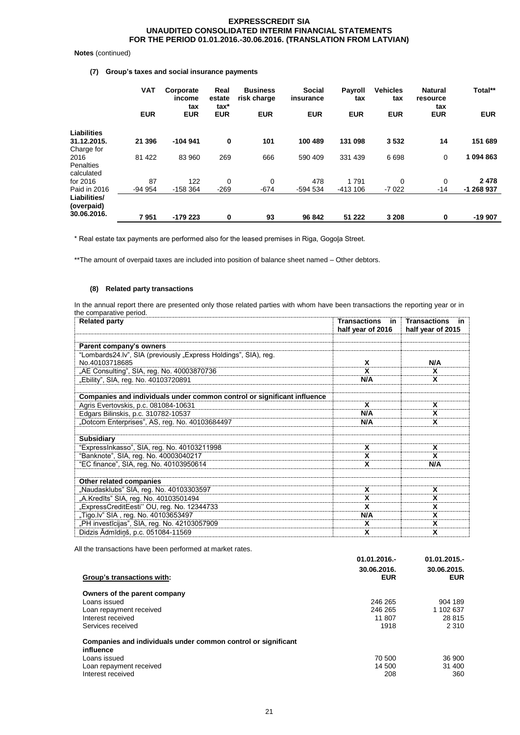# **Notes** (continued)

# **(7) Group's taxes and social insurance payments**

|                            | <b>VAT</b> | Corporate<br>income<br>tax | Real<br>estate<br>tax* | <b>Business</b><br>risk charge | Social<br>insurance | Payroll<br>tax | <b>Vehicles</b><br>tax | <b>Natural</b><br>resource<br>tax | Total**    |
|----------------------------|------------|----------------------------|------------------------|--------------------------------|---------------------|----------------|------------------------|-----------------------------------|------------|
|                            | <b>EUR</b> | <b>EUR</b>                 | <b>EUR</b>             | <b>EUR</b>                     | <b>EUR</b>          | <b>EUR</b>     | <b>EUR</b>             | <b>EUR</b>                        | <b>EUR</b> |
| <b>Liabilities</b>         |            |                            |                        |                                |                     |                |                        |                                   |            |
| 31.12.2015.                | 21 396     | $-104941$                  | $\bf{0}$               | 101                            | 100 489             | 131 098        | 3532                   | 14                                | 151 689    |
| Charge for                 |            |                            |                        |                                |                     |                |                        |                                   |            |
| 2016                       | 81 422     | 83 960                     | 269                    | 666                            | 590 409             | 331 439        | 6698                   | 0                                 | 1094863    |
| <b>Penalties</b>           |            |                            |                        |                                |                     |                |                        |                                   |            |
| calculated                 |            |                            |                        |                                |                     |                |                        |                                   |            |
| for 2016                   | 87         | 122                        | 0                      | 0                              | 478                 | 1791           | $\mathbf 0$            | $\mathbf 0$                       | 2478       |
| Paid in 2016               | $-94954$   | $-158364$                  | $-269$                 | $-674$                         | -594 534            | $-413106$      | $-7022$                | $-14$                             | -1 268 937 |
| Liabilities/<br>(overpaid) |            |                            |                        |                                |                     |                |                        |                                   |            |
| 30.06.2016.                | 7951       | -179 223                   | 0                      | 93                             | 96 842              | 51 222         | 3 2 0 8                | 0                                 | -19 907    |

\* Real estate tax payments are performed also for the leased premises in Riga, Gogoļa Street.

\*\*The amount of overpaid taxes are included into position of balance sheet named - Other debtors.

### **(8) Related party transactions**

In the annual report there are presented only those related parties with whom have been transactions the reporting year or in the comparative period.

| <b>Related party</b>                                                    | <b>Transactions</b><br>in i<br>half year of 2016 | <b>Transactions</b><br>- in<br>half year of 2015 |
|-------------------------------------------------------------------------|--------------------------------------------------|--------------------------------------------------|
|                                                                         |                                                  |                                                  |
| Parent company's owners                                                 |                                                  |                                                  |
| "Lombards24.lv", SIA (previously "Express Holdings", SIA), reg.         |                                                  |                                                  |
| No.40103718685                                                          | X                                                | N/A                                              |
| "AE Consulting", SIA, reg. No. 40003870736                              | X                                                | X                                                |
| "Ebility", SIA, reg. No. 40103720891                                    | N/A                                              | x                                                |
|                                                                         |                                                  |                                                  |
| Companies and individuals under common control or significant influence |                                                  |                                                  |
| Agris Evertovskis, p.c. 081084-10631                                    | x                                                | x                                                |
| Edgars Bilinskis, p.c. 310782-10537                                     | N/A                                              | X                                                |
| "Dotcom Enterprises", AS, reg. No. 40103684497                          | N/A                                              | x                                                |
|                                                                         |                                                  |                                                  |
| <b>Subsidiary</b>                                                       |                                                  |                                                  |
| "ExpressInkasso", SIA, reg. No. 40103211998                             | x                                                | x                                                |
| "Banknote", SIA, reg. No. 40003040217                                   | x                                                | x                                                |
| "EC finance", SIA, reg. No. 40103950614                                 | χ                                                | N/A                                              |
|                                                                         |                                                  |                                                  |
| Other related companies                                                 |                                                  |                                                  |
| "Naudasklubs" SIA, reg. No. 40103303597                                 | X                                                | x                                                |
| "A.Kredīts" SIA, reg. No. 40103501494                                   | X                                                | X                                                |
| "ExpressCreditEesti" OU, reg. No. 12344733                              | x                                                | X                                                |
| "Tigo.lv" SIA, reg. No. 40103653497                                     | N/A                                              | x                                                |
| "PH investīcijas", SIA, reg. No. 42103057909                            | x                                                | x                                                |
| Didzis Ādmīdiņš, p.c. 051084-11569                                      | X                                                | X                                                |

All the transactions have been performed at market rates.

| Group's transactions with:                                                                                                                 | $01.01.2016 -$<br>30.06.2016.<br><b>EUR</b> | $01.01.2015 -$<br>30.06.2015.<br><b>EUR</b> |
|--------------------------------------------------------------------------------------------------------------------------------------------|---------------------------------------------|---------------------------------------------|
| Owners of the parent company<br>Loans issued<br>Loan repayment received<br>Interest received<br>Services received                          | 246 265<br>246 265<br>11 807<br>1918        | 904 189<br>1 102 637<br>28 815<br>2 3 1 0   |
| Companies and individuals under common control or significant<br>influence<br>Loans issued<br>Loan repayment received<br>Interest received | 70 500<br>14 500<br>208                     | 36 900<br>31 400<br>360                     |